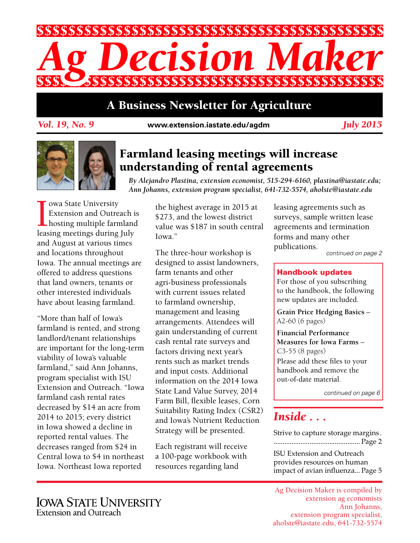

## A Business Newsletter for Agriculture

*Vol. 19, No. 9* **www.extension.iastate.edu/agdm**

*July 2015*



## Farmland leasing meetings will increase understanding of rental agreements

*By Alejandro Plastina, extension economist, 515-294-6160, plastina@iastate.edu; Ann Johanns, extension program specialist, 641-732-5574, aholste@iastate.edu*

**IDENETIES CONTROVER EXTENSION CONTROLLER**<br>
Intervalse and Outreach intervalsed a leasing meetings during July owa State University Extension and Outreach is hosting multiple farmland and August at various times and locations throughout Iowa. The annual meetings are offered to address questions that land owners, tenants or other interested individuals have about leasing farmland.

"More than half of Iowa's farmland is rented, and strong landlord/tenant relationships are important for the long-term viability of Iowa's valuable farmland," said Ann Johanns, program specialist with ISU Extension and Outreach. "Iowa farmland cash rental rates decreased by \$14 an acre from 2014 to 2015; every district in Iowa showed a decline in reported rental values. The decreases ranged from \$24 in Central Iowa to \$4 in northeast Iowa. Northeast Iowa reported

the highest average in 2015 at \$273, and the lowest district value was \$187 in south central Iowa."

The three-hour workshop is designed to assist landowners, farm tenants and other agri-business professionals with current issues related to farmland ownership, management and leasing arrangements. Attendees will gain understanding of current cash rental rate surveys and factors driving next year's rents such as market trends and input costs. Additional information on the 2014 Iowa State Land Value Survey, 2014 Farm Bill, flexible leases, Corn Suitability Rating Index (CSR2) and Iowa's Nutrient Reduction Strategy will be presented.

Each registrant will receive a 100-page workbook with resources regarding land

leasing agreements such as surveys, sample written lease agreements and termination forms and many other publications.

*continued on page 2*

#### Handbook updates

For those of you subscribing to the handbook, the following new updates are included.

**Grain Price Hedging Basics** – A2-60 (6 pages)

**Financial Performance Measures for Iowa Farms** – C3-55 (8 pages) Please add these files to your handbook and remove the out-of-date material.

*continued on page 6*

## *Inside . . .*

Strive to capture storage margins . ................................................ Page 2 ISU Extension and Outreach provides resources on human impact of avian influenza... Page 5

Ag Decision Maker is compiled by extension ag economists Ann Johanns, extension program specialist, aholste@iastate.edu, 641-732-5574

**IOWA STATE UNIVERSITY** Extension and Outreach